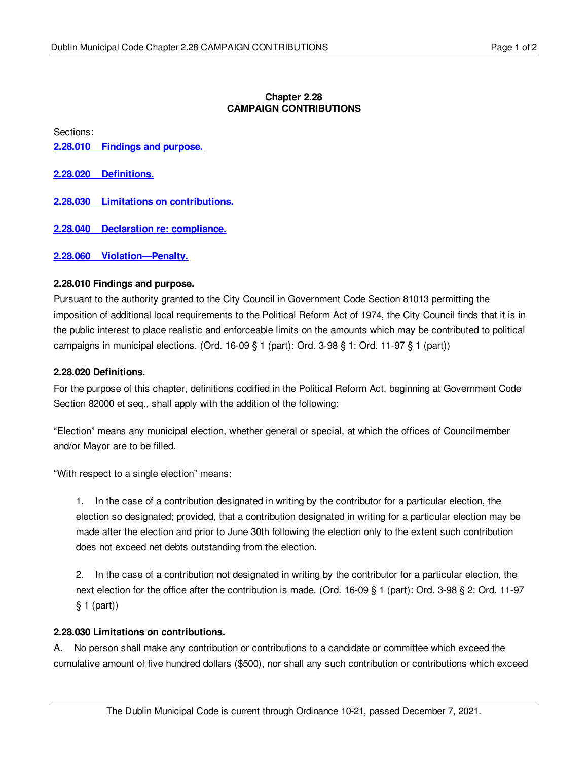## **Chapter 2.28 CAMPAIGN CONTRIBUTIONS**

Sections:

**2.28.010 [Findings](#page-0-0) and purpose.**

**2.28.020 [Definitions.](#page-0-1)**

**2.28.030 Limitations on [contributions.](#page-0-2)**

**2.28.040 Declaration re: [compliance.](#page-1-0)**

**2.28.060 [Violation—Penalty.](#page-1-1)**

## <span id="page-0-0"></span>**2.28.010 Findings and purpose.**

Pursuant to the authority granted to the City Council in Government Code Section 81013 permitting the imposition of additional local requirements to the Political Reform Act of 1974, the City Council finds that it is in the public interest to place realistic and enforceable limits on the amounts which may be contributed to political campaigns in municipal elections. (Ord. 16-09 § 1 (part): Ord. 3-98 § 1: Ord. 11-97 § 1 (part))

## <span id="page-0-1"></span>**2.28.020 Definitions.**

For the purpose of this chapter, definitions codified in the Political Reform Act, beginning at Government Code Section 82000 et seq., shall apply with the addition of the following:

"Election" means any municipal election, whether general or special, at which the offices of Councilmember and/or Mayor are to be filled.

"With respect to a single election" means:

1. In the case of a contribution designated in writing by the contributor for a particular election, the election so designated; provided, that a contribution designated in writing for a particular election may be made after the election and prior to June 30th following the election only to the extent such contribution does not exceed net debts outstanding from the election.

2. In the case of a contribution not designated in writing by the contributor for a particular election, the next election for the office after the contribution is made. (Ord. 16-09 § 1 (part): Ord. 3-98 § 2: Ord. 11-97 § 1 (part))

#### <span id="page-0-2"></span>**2.28.030 Limitations on contributions.**

A. No person shall make any contribution or contributions to a candidate or committee which exceed the cumulative amount of five hundred dollars (\$500), nor shall any such contribution or contributions which exceed